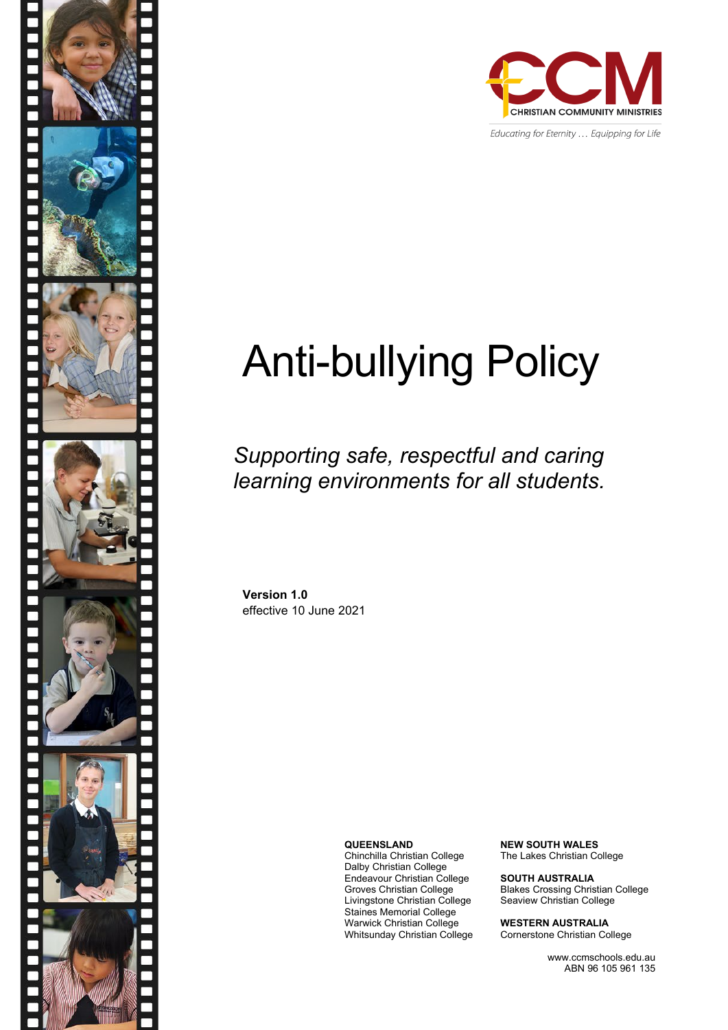

Educating for Eternity ... Equipping for Life

# Anti-bullying Policy

*Supporting safe, respectful and caring learning environments for all students.*

**Version 1.0** effective 10 June 2021

**QUEENSLAND**

Chinchilla Christian College Dalby Christian College Endeavour Christian College Groves Christian College Livingstone Christian College Staines Memorial College Warwick Christian College Whitsunday Christian College **NEW SOUTH WALES** The Lakes Christian College

**SOUTH AUSTRALIA** Blakes Crossing Christian College Seaview Christian College

**WESTERN AUSTRALIA** Cornerstone Christian College

> www.ccmschools.edu.au ABN 96 105 961 135

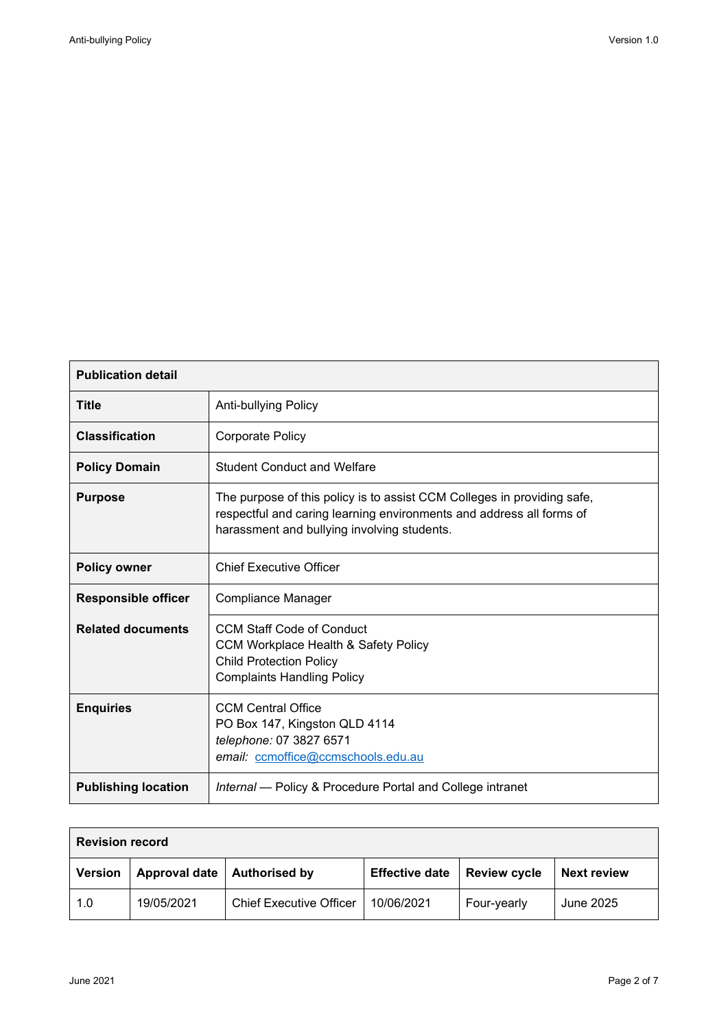$\overline{\phantom{a}}$ 

| <b>Publication detail</b>  |                                                                                                                                                                                                |  |  |  |
|----------------------------|------------------------------------------------------------------------------------------------------------------------------------------------------------------------------------------------|--|--|--|
| <b>Title</b>               | <b>Anti-bullying Policy</b>                                                                                                                                                                    |  |  |  |
| <b>Classification</b>      | <b>Corporate Policy</b>                                                                                                                                                                        |  |  |  |
| <b>Policy Domain</b>       | <b>Student Conduct and Welfare</b>                                                                                                                                                             |  |  |  |
| <b>Purpose</b>             | The purpose of this policy is to assist CCM Colleges in providing safe,<br>respectful and caring learning environments and address all forms of<br>harassment and bullying involving students. |  |  |  |
| <b>Policy owner</b>        | <b>Chief Executive Officer</b>                                                                                                                                                                 |  |  |  |
| <b>Responsible officer</b> | Compliance Manager                                                                                                                                                                             |  |  |  |
| <b>Related documents</b>   | <b>CCM Staff Code of Conduct</b><br><b>CCM Workplace Health &amp; Safety Policy</b><br><b>Child Protection Policy</b><br><b>Complaints Handling Policy</b>                                     |  |  |  |
| <b>Enquiries</b>           | <b>CCM Central Office</b><br>PO Box 147, Kingston QLD 4114<br>telephone: 07 3827 6571<br>email: ccmoffice@ccmschools.edu.au                                                                    |  |  |  |
| <b>Publishing location</b> | Internal - Policy & Procedure Portal and College intranet                                                                                                                                      |  |  |  |

| <b>Revision record</b> |                      |                                |                       |                     |                    |  |  |
|------------------------|----------------------|--------------------------------|-----------------------|---------------------|--------------------|--|--|
| <b>Version</b>         | <b>Approval date</b> | <b>Authorised by</b>           | <b>Effective date</b> | <b>Review cycle</b> | <b>Next review</b> |  |  |
| 1.0                    | 19/05/2021           | <b>Chief Executive Officer</b> | 10/06/2021            | Four-yearly         | June 2025          |  |  |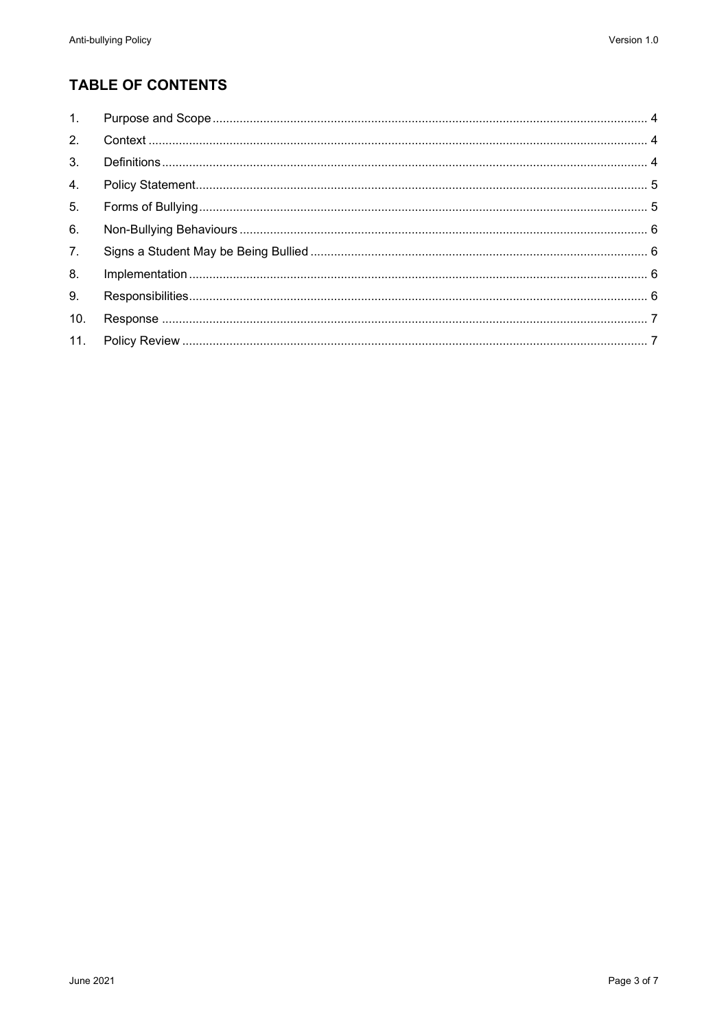## **TABLE OF CONTENTS**

| 1.  |  |
|-----|--|
| 2.  |  |
| 3.  |  |
| 4.  |  |
| 5.  |  |
| 6.  |  |
| 7.  |  |
| 8.  |  |
| 9.  |  |
| 10. |  |
| 11. |  |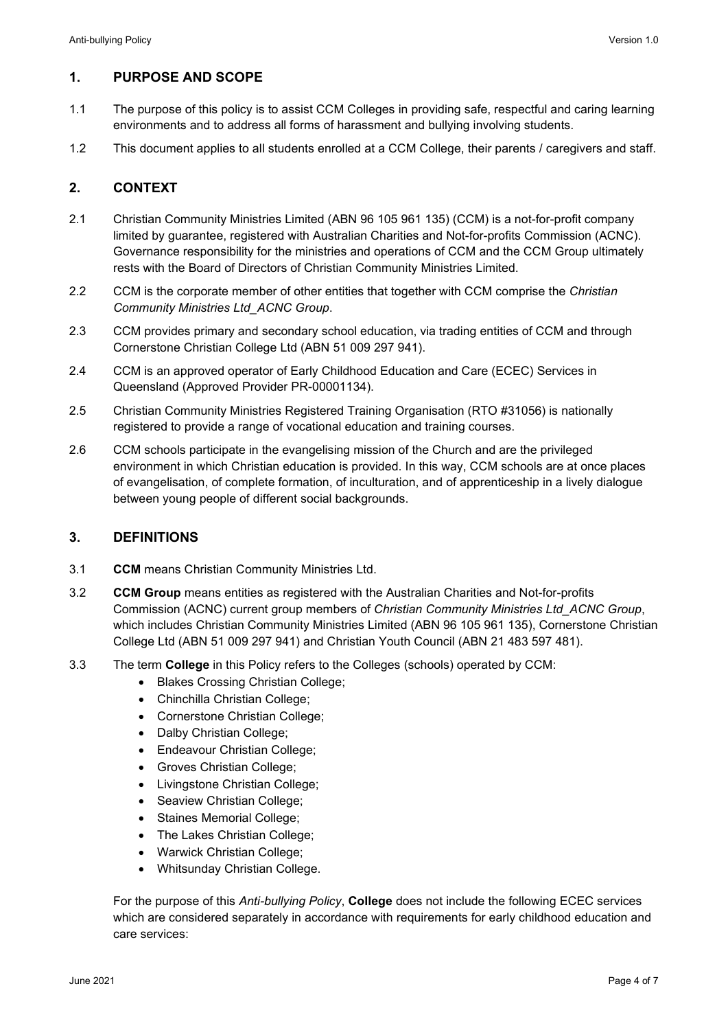### <span id="page-3-0"></span>**1. PURPOSE AND SCOPE**

- 1.1 The purpose of this policy is to assist CCM Colleges in providing safe, respectful and caring learning environments and to address all forms of harassment and bullying involving students.
- 1.2 This document applies to all students enrolled at a CCM College, their parents / caregivers and staff.

#### <span id="page-3-1"></span>**2. CONTEXT**

- 2.1 Christian Community Ministries Limited (ABN 96 105 961 135) (CCM) is a not-for-profit company limited by guarantee, registered with Australian Charities and Not-for-profits Commission (ACNC). Governance responsibility for the ministries and operations of CCM and the CCM Group ultimately rests with the Board of Directors of Christian Community Ministries Limited.
- 2.2 CCM is the corporate member of other entities that together with CCM comprise the *Christian Community Ministries Ltd\_ACNC Group*.
- 2.3 CCM provides primary and secondary school education, via trading entities of CCM and through Cornerstone Christian College Ltd (ABN 51 009 297 941).
- 2.4 CCM is an approved operator of Early Childhood Education and Care (ECEC) Services in Queensland (Approved Provider PR-00001134).
- 2.5 Christian Community Ministries Registered Training Organisation (RTO #31056) is nationally registered to provide a range of vocational education and training courses.
- 2.6 CCM schools participate in the evangelising mission of the Church and are the privileged environment in which Christian education is provided. In this way, CCM schools are at once places of evangelisation, of complete formation, of inculturation, and of apprenticeship in a lively dialogue between young people of different social backgrounds.

#### <span id="page-3-2"></span>**3. DEFINITIONS**

- 3.1 **CCM** means Christian Community Ministries Ltd.
- 3.2 **CCM Group** means entities as registered with the Australian Charities and Not-for-profits Commission (ACNC) current group members of *Christian Community Ministries Ltd\_ACNC Group*, which includes Christian Community Ministries Limited (ABN 96 105 961 135), Cornerstone Christian College Ltd (ABN 51 009 297 941) and Christian Youth Council (ABN 21 483 597 481).
- 3.3 The term **College** in this Policy refers to the Colleges (schools) operated by CCM:
	- Blakes Crossing Christian College;
	- Chinchilla Christian College;
	- Cornerstone Christian College;
	- Dalby Christian College;
	- Endeavour Christian College;
	- Groves Christian College;
	- Livingstone Christian College;
	- Seaview Christian College;
	- Staines Memorial College;
	- The Lakes Christian College;
	- Warwick Christian College;
	- Whitsunday Christian College.

For the purpose of this *Anti-bullying Policy*, **College** does not include the following ECEC services which are considered separately in accordance with requirements for early childhood education and care services: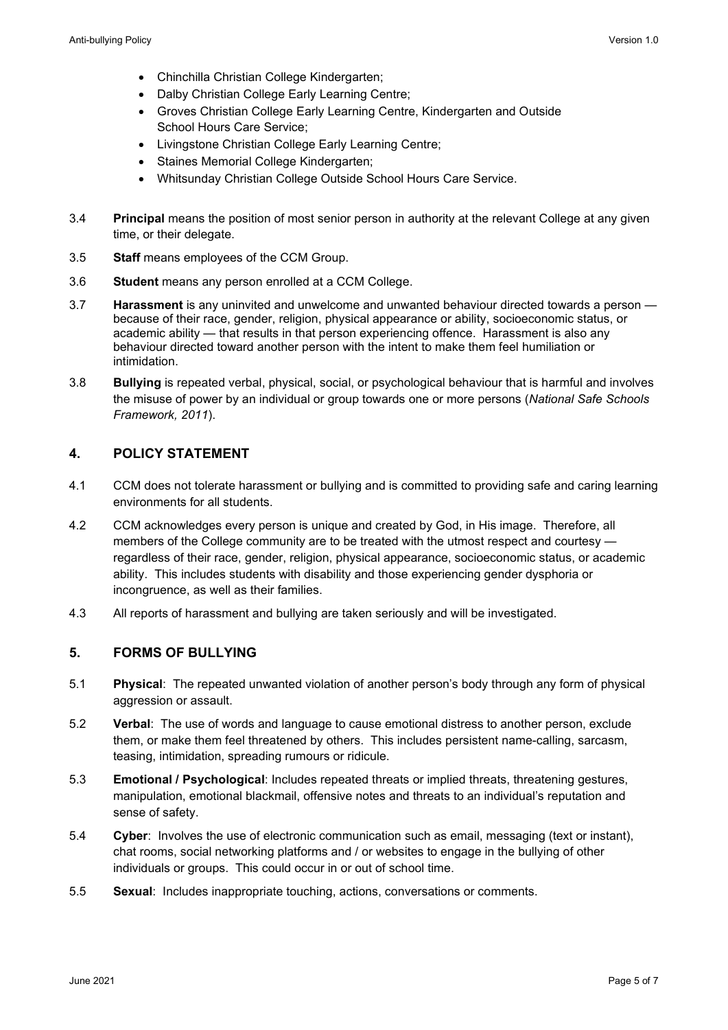- Chinchilla Christian College Kindergarten;
- Dalby Christian College Early Learning Centre;
- Groves Christian College Early Learning Centre, Kindergarten and Outside School Hours Care Service;
- Livingstone Christian College Early Learning Centre;
- Staines Memorial College Kindergarten;
- Whitsunday Christian College Outside School Hours Care Service.
- 3.4 **Principal** means the position of most senior person in authority at the relevant College at any given time, or their delegate.
- 3.5 **Staff** means employees of the CCM Group.
- 3.6 **Student** means any person enrolled at a CCM College.
- 3.7 **Harassment** is any uninvited and unwelcome and unwanted behaviour directed towards a person because of their race, gender, religion, physical appearance or ability, socioeconomic status, or academic ability — that results in that person experiencing offence. Harassment is also any behaviour directed toward another person with the intent to make them feel humiliation or intimidation.
- 3.8 **Bullying** is repeated verbal, physical, social, or psychological behaviour that is harmful and involves the misuse of power by an individual or group towards one or more persons (*National Safe Schools Framework, 2011*).

#### <span id="page-4-0"></span>**4. POLICY STATEMENT**

- 4.1 CCM does not tolerate harassment or bullying and is committed to providing safe and caring learning environments for all students.
- 4.2 CCM acknowledges every person is unique and created by God, in His image. Therefore, all members of the College community are to be treated with the utmost respect and courtesy regardless of their race, gender, religion, physical appearance, socioeconomic status, or academic ability. This includes students with disability and those experiencing gender dysphoria or incongruence, as well as their families.
- 4.3 All reports of harassment and bullying are taken seriously and will be investigated.

#### <span id="page-4-1"></span>**5. FORMS OF BULLYING**

- 5.1 **Physical**: The repeated unwanted violation of another person's body through any form of physical aggression or assault.
- 5.2 **Verbal**: The use of words and language to cause emotional distress to another person, exclude them, or make them feel threatened by others. This includes persistent name-calling, sarcasm, teasing, intimidation, spreading rumours or ridicule.
- 5.3 **Emotional / Psychological**: Includes repeated threats or implied threats, threatening gestures, manipulation, emotional blackmail, offensive notes and threats to an individual's reputation and sense of safety.
- 5.4 **Cyber**: Involves the use of electronic communication such as email, messaging (text or instant), chat rooms, social networking platforms and / or websites to engage in the bullying of other individuals or groups. This could occur in or out of school time.
- 5.5 **Sexual**: Includes inappropriate touching, actions, conversations or comments.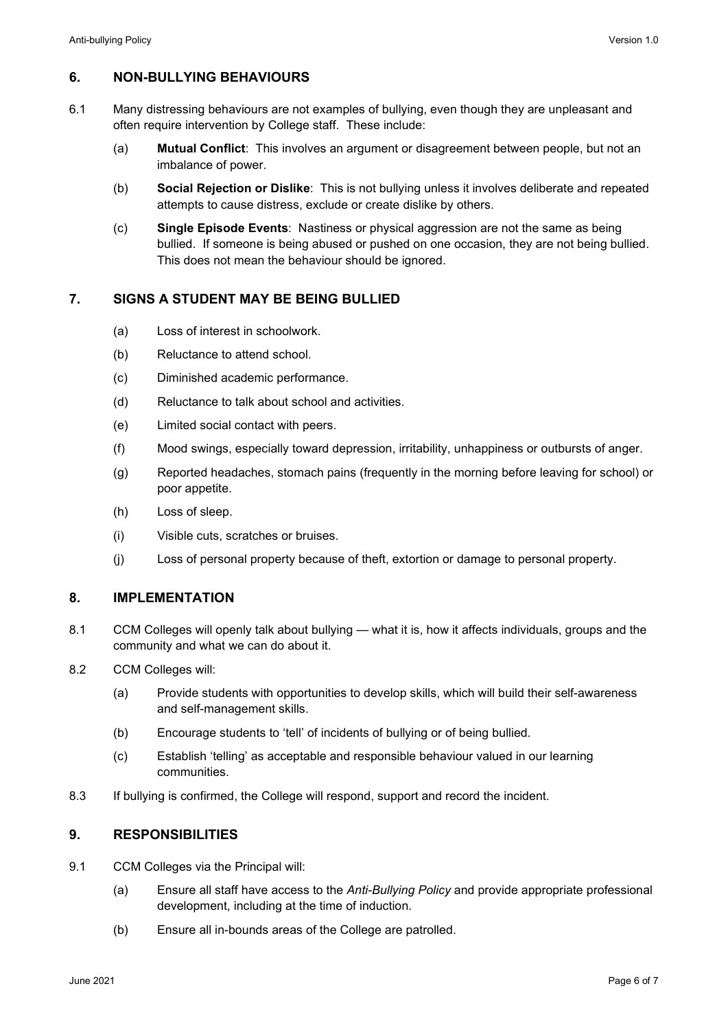#### <span id="page-5-0"></span>**6. NON-BULLYING BEHAVIOURS**

- 6.1 Many distressing behaviours are not examples of bullying, even though they are unpleasant and often require intervention by College staff. These include:
	- (a) **Mutual Conflict**: This involves an argument or disagreement between people, but not an imbalance of power.
	- (b) **Social Rejection or Dislike**: This is not bullying unless it involves deliberate and repeated attempts to cause distress, exclude or create dislike by others.
	- (c) **Single Episode Events**: Nastiness or physical aggression are not the same as being bullied. If someone is being abused or pushed on one occasion, they are not being bullied. This does not mean the behaviour should be ignored.

#### <span id="page-5-1"></span>**7. SIGNS A STUDENT MAY BE BEING BULLIED**

- (a) Loss of interest in schoolwork.
- (b) Reluctance to attend school.
- (c) Diminished academic performance.
- (d) Reluctance to talk about school and activities.
- (e) Limited social contact with peers.
- (f) Mood swings, especially toward depression, irritability, unhappiness or outbursts of anger.
- (g) Reported headaches, stomach pains (frequently in the morning before leaving for school) or poor appetite.
- (h) Loss of sleep.
- (i) Visible cuts, scratches or bruises.
- (j) Loss of personal property because of theft, extortion or damage to personal property.

#### <span id="page-5-2"></span>**8. IMPLEMENTATION**

- 8.1 CCM Colleges will openly talk about bullying what it is, how it affects individuals, groups and the community and what we can do about it.
- 8.2 CCM Colleges will:
	- (a) Provide students with opportunities to develop skills, which will build their self-awareness and self-management skills.
	- (b) Encourage students to 'tell' of incidents of bullying or of being bullied.
	- (c) Establish 'telling' as acceptable and responsible behaviour valued in our learning communities.
- 8.3 If bullying is confirmed, the College will respond, support and record the incident.

#### <span id="page-5-3"></span>**9. RESPONSIBILITIES**

- 9.1 CCM Colleges via the Principal will:
	- (a) Ensure all staff have access to the *Anti-Bullying Policy* and provide appropriate professional development, including at the time of induction.
	- (b) Ensure all in-bounds areas of the College are patrolled.